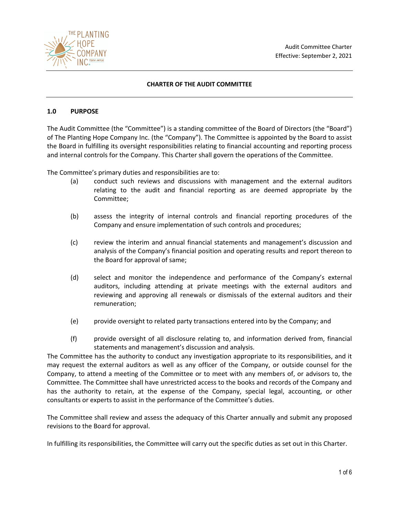

# **CHARTER OF THE AUDIT COMMITTEE**

### **1.0 PURPOSE**

The Audit Committee (the "Committee") is a standing committee of the Board of Directors (the "Board") of The Planting Hope Company Inc. (the "Company"). The Committee is appointed by the Board to assist the Board in fulfilling its oversight responsibilities relating to financial accounting and reporting process and internal controls for the Company. This Charter shall govern the operations of the Committee.

The Committee's primary duties and responsibilities are to:

- (a) conduct such reviews and discussions with management and the external auditors relating to the audit and financial reporting as are deemed appropriate by the Committee;
- (b) assess the integrity of internal controls and financial reporting procedures of the Company and ensure implementation of such controls and procedures;
- (c) review the interim and annual financial statements and management's discussion and analysis of the Company's financial position and operating results and report thereon to the Board for approval of same;
- (d) select and monitor the independence and performance of the Company's external auditors, including attending at private meetings with the external auditors and reviewing and approving all renewals or dismissals of the external auditors and their remuneration;
- (e) provide oversight to related party transactions entered into by the Company; and
- (f) provide oversight of all disclosure relating to, and information derived from, financial statements and management's discussion and analysis.

The Committee has the authority to conduct any investigation appropriate to its responsibilities, and it may request the external auditors as well as any officer of the Company, or outside counsel for the Company, to attend a meeting of the Committee or to meet with any members of, or advisors to, the Committee. The Committee shall have unrestricted access to the books and records of the Company and has the authority to retain, at the expense of the Company, special legal, accounting, or other consultants or experts to assist in the performance of the Committee's duties.

The Committee shall review and assess the adequacy of this Charter annually and submit any proposed revisions to the Board for approval.

In fulfilling its responsibilities, the Committee will carry out the specific duties as set out in this Charter.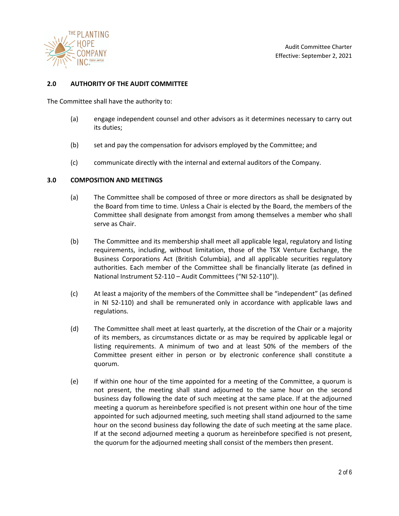

## **2.0 AUTHORITY OF THE AUDIT COMMITTEE**

The Committee shall have the authority to:

- (a) engage independent counsel and other advisors as it determines necessary to carry out its duties;
- (b) set and pay the compensation for advisors employed by the Committee; and
- (c) communicate directly with the internal and external auditors of the Company.

#### **3.0 COMPOSITION AND MEETINGS**

- (a) The Committee shall be composed of three or more directors as shall be designated by the Board from time to time. Unless a Chair is elected by the Board, the members of the Committee shall designate from amongst from among themselves a member who shall serve as Chair.
- (b) The Committee and its membership shall meet all applicable legal, regulatory and listing requirements, including, without limitation, those of the TSX Venture Exchange, the Business Corporations Act (British Columbia), and all applicable securities regulatory authorities. Each member of the Committee shall be financially literate (as defined in National Instrument 52-110 – Audit Committees ("NI 52-110")).
- (c) At least a majority of the members of the Committee shall be "independent" (as defined in NI 52-110) and shall be remunerated only in accordance with applicable laws and regulations.
- (d) The Committee shall meet at least quarterly, at the discretion of the Chair or a majority of its members, as circumstances dictate or as may be required by applicable legal or listing requirements. A minimum of two and at least 50% of the members of the Committee present either in person or by electronic conference shall constitute a quorum.
- (e) If within one hour of the time appointed for a meeting of the Committee, a quorum is not present, the meeting shall stand adjourned to the same hour on the second business day following the date of such meeting at the same place. If at the adjourned meeting a quorum as hereinbefore specified is not present within one hour of the time appointed for such adjourned meeting, such meeting shall stand adjourned to the same hour on the second business day following the date of such meeting at the same place. If at the second adjourned meeting a quorum as hereinbefore specified is not present, the quorum for the adjourned meeting shall consist of the members then present.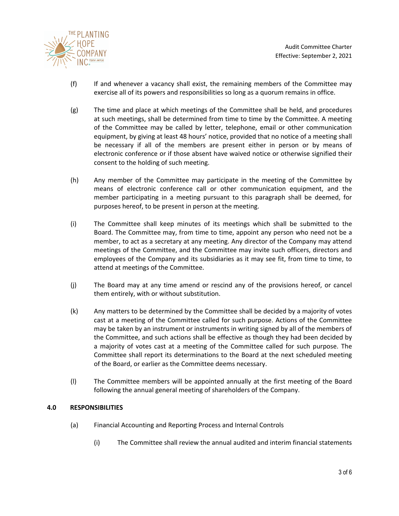

- (f) If and whenever a vacancy shall exist, the remaining members of the Committee may exercise all of its powers and responsibilities so long as a quorum remains in office.
- (g) The time and place at which meetings of the Committee shall be held, and procedures at such meetings, shall be determined from time to time by the Committee. A meeting of the Committee may be called by letter, telephone, email or other communication equipment, by giving at least 48 hours' notice, provided that no notice of a meeting shall be necessary if all of the members are present either in person or by means of electronic conference or if those absent have waived notice or otherwise signified their consent to the holding of such meeting.
- (h) Any member of the Committee may participate in the meeting of the Committee by means of electronic conference call or other communication equipment, and the member participating in a meeting pursuant to this paragraph shall be deemed, for purposes hereof, to be present in person at the meeting.
- (i) The Committee shall keep minutes of its meetings which shall be submitted to the Board. The Committee may, from time to time, appoint any person who need not be a member, to act as a secretary at any meeting. Any director of the Company may attend meetings of the Committee, and the Committee may invite such officers, directors and employees of the Company and its subsidiaries as it may see fit, from time to time, to attend at meetings of the Committee.
- (j) The Board may at any time amend or rescind any of the provisions hereof, or cancel them entirely, with or without substitution.
- (k) Any matters to be determined by the Committee shall be decided by a majority of votes cast at a meeting of the Committee called for such purpose. Actions of the Committee may be taken by an instrument or instruments in writing signed by all of the members of the Committee, and such actions shall be effective as though they had been decided by a majority of votes cast at a meeting of the Committee called for such purpose. The Committee shall report its determinations to the Board at the next scheduled meeting of the Board, or earlier as the Committee deems necessary.
- (l) The Committee members will be appointed annually at the first meeting of the Board following the annual general meeting of shareholders of the Company.

### **4.0 RESPONSIBILITIES**

- (a) Financial Accounting and Reporting Process and Internal Controls
	- (i) The Committee shall review the annual audited and interim financial statements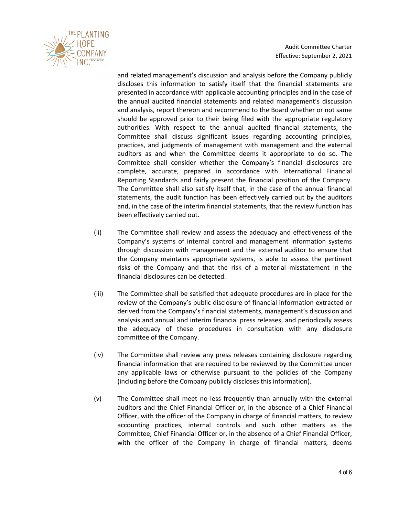

Audit Committee Charter Effective: September 2, 2021

and related management's discussion and analysis before the Company publicly discloses this information to satisfy itself that the financial statements are presented in accordance with applicable accounting principles and in the case of the annual audited financial statements and related management's discussion and analysis, report thereon and recommend to the Board whether or not same should be approved prior to their being filed with the appropriate regulatory authorities. With respect to the annual audited financial statements, the Committee shall discuss significant issues regarding accounting principles, practices, and judgments of management with management and the external auditors as and when the Committee deems it appropriate to do so. The Committee shall consider whether the Company's financial disclosures are complete, accurate, prepared in accordance with International Financial Reporting Standards and fairly present the financial position of the Company. The Committee shall also satisfy itself that, in the case of the annual financial statements, the audit function has been effectively carried out by the auditors and, in the case of the interim financial statements, that the review function has been effectively carried out.

- (ii) The Committee shall review and assess the adequacy and effectiveness of the Company's systems of internal control and management information systems through discussion with management and the external auditor to ensure that the Company maintains appropriate systems, is able to assess the pertinent risks of the Company and that the risk of a material misstatement in the financial disclosures can be detected.
- (iii) The Committee shall be satisfied that adequate procedures are in place for the review of the Company's public disclosure of financial information extracted or derived from the Company's financial statements, management's discussion and analysis and annual and interim financial press releases, and periodically assess the adequacy of these procedures in consultation with any disclosure committee of the Company.
- (iv) The Committee shall review any press releases containing disclosure regarding financial information that are required to be reviewed by the Committee under any applicable laws or otherwise pursuant to the policies of the Company (including before the Company publicly discloses this information).
- (v) The Committee shall meet no less frequently than annually with the external auditors and the Chief Financial Officer or, in the absence of a Chief Financial Officer, with the officer of the Company in charge of financial matters, to review accounting practices, internal controls and such other matters as the Committee, Chief Financial Officer or, in the absence of a Chief Financial Officer, with the officer of the Company in charge of financial matters, deems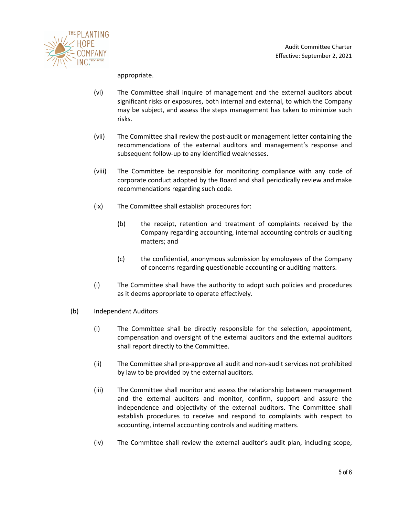

appropriate.

- (vi) The Committee shall inquire of management and the external auditors about significant risks or exposures, both internal and external, to which the Company may be subject, and assess the steps management has taken to minimize such risks.
- (vii) The Committee shall review the post-audit or management letter containing the recommendations of the external auditors and management's response and subsequent follow-up to any identified weaknesses.
- (viii) The Committee be responsible for monitoring compliance with any code of corporate conduct adopted by the Board and shall periodically review and make recommendations regarding such code.
- (ix) The Committee shall establish procedures for:
	- (b) the receipt, retention and treatment of complaints received by the Company regarding accounting, internal accounting controls or auditing matters; and
	- (c) the confidential, anonymous submission by employees of the Company of concerns regarding questionable accounting or auditing matters.
- (i) The Committee shall have the authority to adopt such policies and procedures as it deems appropriate to operate effectively.
- (b) Independent Auditors
	- (i) The Committee shall be directly responsible for the selection, appointment, compensation and oversight of the external auditors and the external auditors shall report directly to the Committee.
	- (ii) The Committee shall pre-approve all audit and non-audit services not prohibited by law to be provided by the external auditors.
	- (iii) The Committee shall monitor and assess the relationship between management and the external auditors and monitor, confirm, support and assure the independence and objectivity of the external auditors. The Committee shall establish procedures to receive and respond to complaints with respect to accounting, internal accounting controls and auditing matters.
	- (iv) The Committee shall review the external auditor's audit plan, including scope,